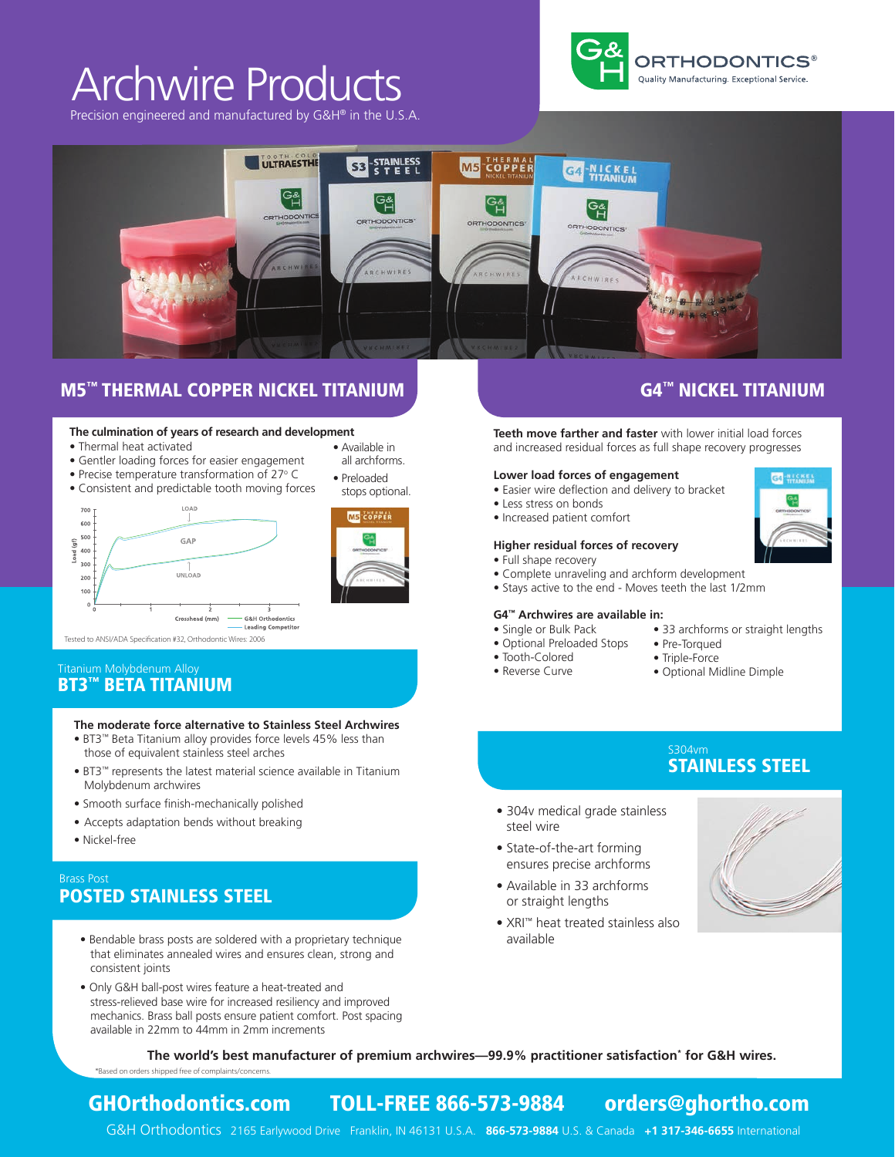# Archwire Products

Precision engineered and manufactured by G&H® in the U.S.A.





## M5™ THERMAL COPPER NICKEL TITANIUM **COPPER NICKEL TITANIUM**

#### **The culmination of years of research and development** • Available in

- Thermal heat activated
- Gentler loading forces for easier engagement
- Precise temperature transformation of 27° C
- Consistent and predictable tooth moving forces





all archforms. • Preloaded stops optional.

Tested to ANSI/ADA Specification #32, Orthodontic Wires: 2006

### BT3™ BETA TITANIUM Titanium Molybdenum Alloy

#### **The moderate force alternative to Stainless Steel Archwires**

- BT3™ Beta Titanium alloy provides force levels 45% less than those of equivalent stainless steel arches
- BT3™ represents the latest material science available in Titanium Molybdenum archwires
- Smooth surface finish-mechanically polished
- Accepts adaptation bends without breaking
- Nickel-free

### POSTED STAINLESS STEEL Brass Post

- Bendable brass posts are soldered with a proprietary technique that eliminates annealed wires and ensures clean, strong and consistent joints
- Only G&H ball-post wires feature a heat-treated and stress-relieved base wire for increased resiliency and improved mechanics. Brass ball posts ensure patient comfort. Post spacing available in 22mm to 44mm in 2mm increments

**Teeth move farther and faster** with lower initial load forces and increased residual forces as full shape recovery progresses

#### **Lower load forces of engagement**

- Easier wire deflection and delivery to bracket
- Less stress on bonds
- Increased patient comfort

#### **Higher residual forces of recovery**

- Full shape recovery
- Complete unraveling and archform development
- Stays active to the end Moves teeth the last 1/2mm

#### **G4™ Archwires are available in:**

- Single or Bulk Pack
- Optional Preloaded Stops
- Tooth-Colored
- Reverse Curve
- 33 archforms or straight lengths
- Pre-Torqued
- Triple-Force
- Optional Midline Dimple

# STAINLESS STEEL

- 304v medical grade stainless steel wire
- State-of-the-art forming ensures precise archforms
- Available in 33 archforms or straight lengths
- XRI™ heat treated stainless also available



**The world's best manufacturer of premium archwires—99.9% practitioner satisfaction\* for G&H wires.** \*Based on orders shipped free of complaints/concerns.

## GHOrthodontics.com TOLL-FREE 866-573-9884 orders@ghortho.com

G&H Orthodontics 2165 Earlywood Drive Franklin, IN 46131 U.S.A. **866-573-9884** U.S. & Canada **+1 317-346-6655** International